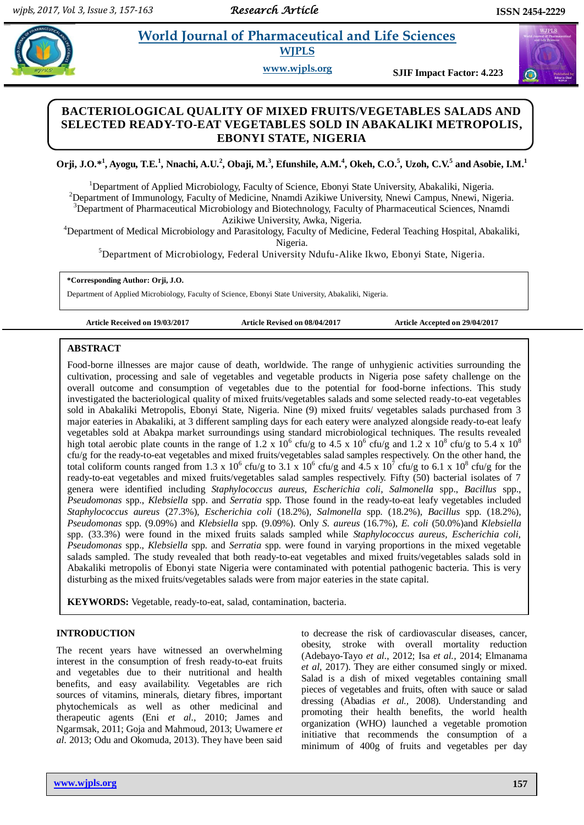# **World Journal of Pharmaceutical and Life Sciences WJPLS**

**www.wjpls.org SJIF Impact Factor: 4.223**

## **BACTERIOLOGICAL QUALITY OF MIXED FRUITS/VEGETABLES SALADS AND SELECTED READY-TO-EAT VEGETABLES SOLD IN ABAKALIKI METROPOLIS, EBONYI STATE, NIGERIA**

Orji, J.O.\*<sup>1</sup>, Ayogu, T.E.<sup>1</sup>, Nnachi, A.U.<sup>2</sup>, Obaji, M.<sup>3</sup>, Efunshile, A.M.<sup>4</sup>, Okeh, C.O.<sup>5</sup>, Uzoh, C.V.<sup>5</sup> and Asobie, I.M.<sup>1</sup>

<sup>1</sup>Department of Applied Microbiology, Faculty of Science, Ebonyi State University, Abakaliki, Nigeria. <sup>2</sup>Department of Immunology, Faculty of Medicine, Nnamdi Azikiwe University, Nnewi Campus, Nnewi, Nigeria. <sup>3</sup>Department of Pharmaceutical Microbiology and Biotechnology, Faculty of Pharmaceutical Sciences, Nnamdi Azikiwe University, Awka, Nigeria.

<sup>4</sup>Department of Medical Microbiology and Parasitology, Faculty of Medicine, Federal Teaching Hospital, Abakaliki, Nigeria.

<sup>5</sup>Department of Microbiology, Federal University Ndufu-Alike Ikwo, Ebonyi State, Nigeria.

**\*Corresponding Author: Orji, J.O.**

Department of Applied Microbiology, Faculty of Science, Ebonyi State University, Abakaliki, Nigeria.

**Article Received on 19/03/2017 Article Revised on 08/04/2017 Article Accepted on 29/04/2017**

#### **ABSTRACT**

Food-borne illnesses are major cause of death, worldwide. The range of unhygienic activities surrounding the cultivation, processing and sale of vegetables and vegetable products in Nigeria pose safety challenge on the overall outcome and consumption of vegetables due to the potential for food-borne infections. This study investigated the bacteriological quality of mixed fruits/vegetables salads and some selected ready-to-eat vegetables sold in Abakaliki Metropolis, Ebonyi State, Nigeria. Nine (9) mixed fruits/ vegetables salads purchased from 3 major eateries in Abakaliki, at 3 different sampling days for each eatery were analyzed alongside ready-to-eat leafy vegetables sold at Abakpa market surroundings using standard microbiological techniques. The results revealed high total aerobic plate counts in the range of 1.2 x  $10^6$  cfu/g to 4.5 x  $10^6$  cfu/g and 1.2 x  $10^8$  cfu/g to 5.4 x  $10^8$ cfu/g for the ready-to-eat vegetables and mixed fruits/vegetables salad samples respectively. On the other hand, the total coliform counts ranged from 1.3 x 10<sup>6</sup> cfu/g to 3.1 x 10<sup>6</sup> cfu/g and 4.5 x 10<sup>7</sup> cfu/g to 6.1 x 10<sup>8</sup> cfu/g for the ready-to-eat vegetables and mixed fruits/vegetables salad samples respectively. Fifty (50) bacterial isolates of 7 genera were identified including *Staphylococcus aureus, Escherichia coli, Salmonella* spp., *Bacillus* spp., *Pseudomonas* spp., *Klebsiella* spp. and *Serratia* spp. Those found in the ready-to-eat leafy vegetables included *Staphylococcus aureus* (27.3%)*, Escherichia coli* (18.2%)*, Salmonella* spp. (18.2%), *Bacillus* spp. (18.2%), *Pseudomonas* spp. (9.09%) and *Klebsiella* spp. (9.09%). Only *S. aureus* (16.7%)*, E. coli* (50.0%)and *Klebsiella* spp. (33.3%) were found in the mixed fruits salads sampled while *Staphylococcus aureus, Escherichia coli, Pseudomonas* spp., *Klebsiella* spp. and *Serratia* spp. were found in varying proportions in the mixed vegetable salads sampled. The study revealed that both ready-to-eat vegetables and mixed fruits/vegetables salads sold in Abakaliki metropolis of Ebonyi state Nigeria were contaminated with potential pathogenic bacteria. This is very disturbing as the mixed fruits/vegetables salads were from major eateries in the state capital.

**KEYWORDS:** Vegetable, ready-to-eat, salad, contamination, bacteria.

#### **INTRODUCTION**

The recent years have witnessed an overwhelming interest in the consumption of fresh ready-to-eat fruits and vegetables due to their nutritional and health benefits, and easy availability. Vegetables are rich sources of vitamins, minerals, dietary fibres, important phytochemicals as well as other medicinal and therapeutic agents (Eni *et al.,* 2010; James and Ngarmsak, 2011; Goja and Mahmoud, 2013; Uwamere *et al.* 2013; Odu and Okomuda, 2013). They have been said to decrease the risk of cardiovascular diseases, cancer, obesity, stroke with overall mortality reduction (Adebayo-Tayo *et al.*, 2012; Isa *et al.,* 2014; Elmanama *et al,* 2017). They are either consumed singly or mixed. Salad is a dish of mixed vegetables containing small pieces of vegetables and fruits, often with sauce or salad dressing (Abadias *et al.,* 2008). Understanding and promoting their health benefits, the world health organization (WHO) launched a vegetable promotion initiative that recommends the consumption of a minimum of 400g of fruits and vegetables per day

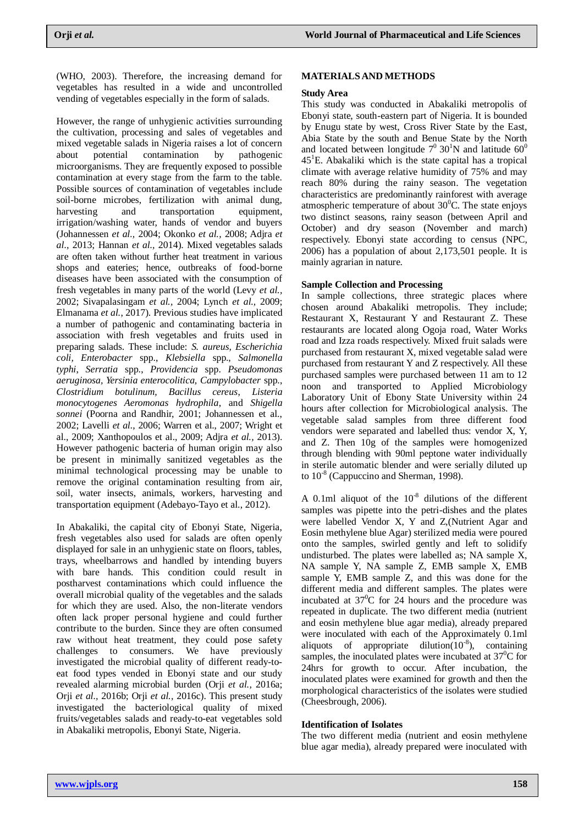(WHO, 2003). Therefore, the increasing demand for vegetables has resulted in a wide and uncontrolled vending of vegetables especially in the form of salads.

However, the range of unhygienic activities surrounding the cultivation, processing and sales of vegetables and mixed vegetable salads in Nigeria raises a lot of concern about potential contamination by pathogenic microorganisms. They are frequently exposed to possible contamination at every stage from the farm to the table. Possible sources of contamination of vegetables include soil-borne microbes, fertilization with animal dung, harvesting and transportation equipment, irrigation/washing water, hands of vendor and buyers (Johannessen *et al.,* 2004; Okonko *et al.,* 2008; Adjra *et al.,* 2013; Hannan *et al.,* 2014). Mixed vegetables salads are often taken without further heat treatment in various shops and eateries; hence, outbreaks of food-borne diseases have been associated with the consumption of fresh vegetables in many parts of the world (Levy *et al.,* 2002; Sivapalasingam *et al.,* 2004; Lynch *et al.,* 2009; Elmanama *et al.*, 2017). Previous studies have implicated a number of pathogenic and contaminating bacteria in association with fresh vegetables and fruits used in preparing salads. These include: *S. aureus, Escherichia coli, Enterobacter* spp., *Klebsiella* spp., *Salmonella typhi*, *Serratia* spp., *Providencia* spp. *Pseudomonas aeruginosa, Yersinia enterocolitica, Campylobacter* spp., *Clostridium botulinum, Bacillus cereus*, *Listeria monocytogenes Aeromonas hydrophila*, and *Shigella sonnei* (Poorna and Randhir, 2001; Johannessen et al., 2002; Lavelli *et al.*, 2006; Warren et al., 2007; Wright et al., 2009; Xanthopoulos et al., 2009; Adjra *et al.,* 2013). However pathogenic bacteria of human origin may also be present in minimally sanitized vegetables as the minimal technological processing may be unable to remove the original contamination resulting from air, soil, water insects, animals, workers, harvesting and transportation equipment (Adebayo-Tayo et al., 2012).

In Abakaliki, the capital city of Ebonyi State, Nigeria, fresh vegetables also used for salads are often openly displayed for sale in an unhygienic state on floors, tables, trays, wheelbarrows and handled by intending buyers with bare hands. This condition could result in postharvest contaminations which could influence the overall microbial quality of the vegetables and the salads for which they are used. Also, the non-literate vendors often lack proper personal hygiene and could further contribute to the burden. Since they are often consumed raw without heat treatment, they could pose safety challenges to consumers. We have previously investigated the microbial quality of different ready-toeat food types vended in Ebonyi state and our study revealed alarming microbial burden (Orji *et al.,* 2016a; Orji *et al.,* 2016b; Orji *et al.,* 2016c). This present study investigated the bacteriological quality of mixed fruits/vegetables salads and ready-to-eat vegetables sold in Abakaliki metropolis, Ebonyi State, Nigeria.

#### **MATERIALSAND METHODS**

#### **Study Area**

This study was conducted in Abakaliki metropolis of Ebonyi state, south-eastern part of Nigeria. It is bounded by Enugu state by west, Cross River State by the East, Abia State by the south and Benue State by the North and located between longitude  $7^0$  30<sup>1</sup>N and latitude 60<sup>0</sup>  $45<sup>1</sup>E$ . Abakaliki which is the state capital has a tropical climate with average relative humidity of 75% and may reach 80% during the rainy season. The vegetation characteristics are predominantly rainforest with average atmospheric temperature of about  $30^{\circ}$ C. The state enjoys two distinct seasons, rainy season (between April and October) and dry season (November and march) respectively. Ebonyi state according to census (NPC, 2006) has a population of about 2,173,501 people. It is mainly agrarian in nature.

#### **Sample Collection and Processing**

In sample collections, three strategic places where chosen around Abakaliki metropolis. They include; Restaurant X, Restaurant Y and Restaurant Z. These restaurants are located along Ogoja road, Water Works road and Izza roads respectively. Mixed fruit salads were purchased from restaurant X, mixed vegetable salad were purchased from restaurant Y and Z respectively. All these purchased samples were purchased between 11 am to 12 noon and transported to Applied Microbiology Laboratory Unit of Ebony State University within 24 hours after collection for Microbiological analysis. The vegetable salad samples from three different food vendors were separated and labelled thus: vendor X, Y, and Z. Then 10g of the samples were homogenized through blending with 90ml peptone water individually in sterile automatic blender and were serially diluted up to  $10^{-8}$  (Cappuccino and Sherman, 1998).

A 0.1ml aliquot of the  $10^{-8}$  dilutions of the different samples was pipette into the petri-dishes and the plates were labelled Vendor X, Y and Z,(Nutrient Agar and Eosin methylene blue Agar) sterilized media were poured onto the samples, swirled gently and left to solidify undisturbed. The plates were labelled as; NA sample X, NA sample Y, NA sample Z, EMB sample X, EMB sample Y, EMB sample Z, and this was done for the different media and different samples. The plates were incubated at  $37^0C$  for 24 hours and the procedure was repeated in duplicate. The two different media (nutrient and eosin methylene blue agar media), already prepared were inoculated with each of the Approximately 0.1ml aliquots of appropriate dilution $(10^{-8})$ , containing samples, the inoculated plates were incubated at  $37^{\circ}$ C for 24hrs for growth to occur. After incubation, the inoculated plates were examined for growth and then the morphological characteristics of the isolates were studied (Cheesbrough, 2006).

#### **Identification of Isolates**

The two different media (nutrient and eosin methylene blue agar media), already prepared were inoculated with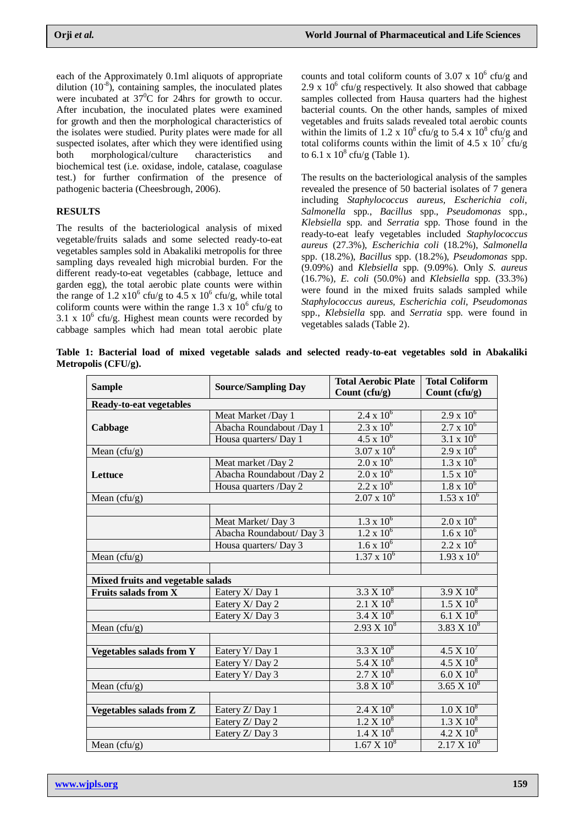each of the Approximately 0.1ml aliquots of appropriate dilution  $(10^{-8})$ , containing samples, the inoculated plates were incubated at  $37^0C$  for 24hrs for growth to occur. After incubation, the inoculated plates were examined for growth and then the morphological characteristics of the isolates were studied. Purity plates were made for all suspected isolates, after which they were identified using both morphological/culture characteristics and biochemical test (i.e. oxidase, indole, catalase, coagulase test.) for further confirmation of the presence of pathogenic bacteria (Cheesbrough, 2006).

### **RESULTS**

The results of the bacteriological analysis of mixed vegetable/fruits salads and some selected ready-to-eat vegetables samples sold in Abakaliki metropolis for three sampling days revealed high microbial burden. For the different ready-to-eat vegetables (cabbage, lettuce and garden egg), the total aerobic plate counts were within the range of 1.2  $x10^6$  cfu/g to 4.5 x 10<sup>6</sup> cfu/g, while total coliform counts were within the range 1.3 x  $10^6$  cfu/g to 3.1 x  $10^6$  cfu/g. Highest mean counts were recorded by cabbage samples which had mean total aerobic plate

counts and total coliform counts of  $3.07 \times 10^6$  cfu/g and 2.9 x  $10^6$  cfu/g respectively. It also showed that cabbage samples collected from Hausa quarters had the highest bacterial counts. On the other hands, samples of mixed vegetables and fruits salads revealed total aerobic counts within the limits of 1.2 x  $10^8$  cfu/g to 5.4 x  $10^8$  cfu/g and total coliforms counts within the limit of 4.5 x  $10^7$  cfu/g to 6.1 x  $10^8$  cfu/g (Table 1).

The results on the bacteriological analysis of the samples revealed the presence of 50 bacterial isolates of 7 genera including *Staphylococcus aureus, Escherichia coli, Salmonella* spp., *Bacillus* spp., *Pseudomonas* spp., *Klebsiella* spp. and *Serratia* spp. Those found in the ready-to-eat leafy vegetables included *Staphylococcus aureus* (27.3%)*, Escherichia coli* (18.2%)*, Salmonella* spp. (18.2%), *Bacillus* spp. (18.2%), *Pseudomonas* spp. (9.09%) and *Klebsiella* spp. (9.09%). Only *S. aureus*  (16.7%)*, E. coli* (50.0%) and *Klebsiella* spp. (33.3%) were found in the mixed fruits salads sampled while *Staphylococcus aureus, Escherichia coli, Pseudomonas* spp., *Klebsiella* spp. and *Serratia* spp. were found in vegetables salads (Table 2).

**Table 1: Bacterial load of mixed vegetable salads and selected ready-to-eat vegetables sold in Abakaliki Metropolis (CFU/g).**

|                                   |                            | <b>Total Aerobic Plate</b> | <b>Total Coliform</b> |  |  |  |  |
|-----------------------------------|----------------------------|----------------------------|-----------------------|--|--|--|--|
| <b>Sample</b>                     | <b>Source/Sampling Day</b> | Count (cfu/g)              | Count (cfu/g)         |  |  |  |  |
| <b>Ready-to-eat vegetables</b>    |                            |                            |                       |  |  |  |  |
| Cabbage                           | Meat Market /Day 1         | $2.4 \times 10^6$          | $2.9 \times 10^6$     |  |  |  |  |
|                                   | Abacha Roundabout /Day 1   | $2.3 \times 10^6$          | $2.7 \times 10^6$     |  |  |  |  |
|                                   | Housa quarters/Day 1       | $4.5 \times 10^6$          | $3.1 \times 10^6$     |  |  |  |  |
| Mean $(cfu/g)$                    |                            | $3.07 \times 10^6$         | $2.9 \times 10^6$     |  |  |  |  |
| Lettuce                           | Meat market /Day 2         | $2.0 \times 10^6$          | $1.3 \times 10^{6}$   |  |  |  |  |
|                                   | Abacha Roundabout /Day 2   | $2.0 \times 10^6$          | $1.5 \times 10^6$     |  |  |  |  |
|                                   | Housa quarters /Day 2      | $2.2 \times 10^6$          | $1.8 \times 10^6$     |  |  |  |  |
| Mean $(cfu/g)$                    |                            | $2.07 \times 10^6$         | $1.53 \times 10^{6}$  |  |  |  |  |
|                                   |                            |                            |                       |  |  |  |  |
|                                   | Meat Market/Day 3          | $1.3 \times 10^6$          | $2.0 \times 10^{6}$   |  |  |  |  |
|                                   | Abacha Roundabout/ Day 3   | $1.2 \times 10^6$          | $1.6 \times 10^6$     |  |  |  |  |
|                                   | Housa quarters/Day 3       | $1.6 \times 10^{6}$        | $2.2 \times 10^6$     |  |  |  |  |
| Mean $(cfu/g)$                    |                            | $1.37 \times 10^6$         | $1.93 \times 10^{6}$  |  |  |  |  |
|                                   |                            |                            |                       |  |  |  |  |
| Mixed fruits and vegetable salads |                            |                            |                       |  |  |  |  |
| <b>Fruits salads from X</b>       | Eatery X/Day 1             | $3.3 \times 10^8$          | $3.9 X 10^8$          |  |  |  |  |
|                                   | Eatery X/ Day 2            | $2.1 X 10^8$               | $1.5 X 10^8$          |  |  |  |  |
|                                   | Eatery X/Day 3             | $3.4 \times 10^8$          | $6.1 X 10^8$          |  |  |  |  |
| Mean $(cfu/g)$                    |                            | $2.93 \times 10^8$         | $3.83 \times 10^8$    |  |  |  |  |
|                                   |                            |                            |                       |  |  |  |  |
| <b>Vegetables salads from Y</b>   | Eatery Y/ Day 1            | $3.3 \times 10^8$          | $4.5 X 10^{7}$        |  |  |  |  |
|                                   | Eatery Y/Day 2             | $5.4 X 10^8$               | $4.5 X 10^8$          |  |  |  |  |
|                                   | Eatery Y/Day 3             | $2.7 \times 10^8$          | $6.0 X 10^8$          |  |  |  |  |
| Mean $(cfu/g)$                    |                            | $3.8 X 10^8$               | $3.65 \times 10^8$    |  |  |  |  |
|                                   |                            |                            |                       |  |  |  |  |
| <b>Vegetables salads from Z</b>   | Eatery Z/ Day 1            | $2.4 \times 10^8$          | $1.0 X 10^8$          |  |  |  |  |
|                                   | Eatery Z/Day 2             | $1.2 \times 10^8$          | $1.3 X 10^8$          |  |  |  |  |
|                                   | Eatery Z/Day 3             | $1.4 \times 10^8$          | $4.2 X 10^8$          |  |  |  |  |
| Mean $(cfu/g)$                    |                            | $1.67 \times 10^8$         | $2.17 \times 10^8$    |  |  |  |  |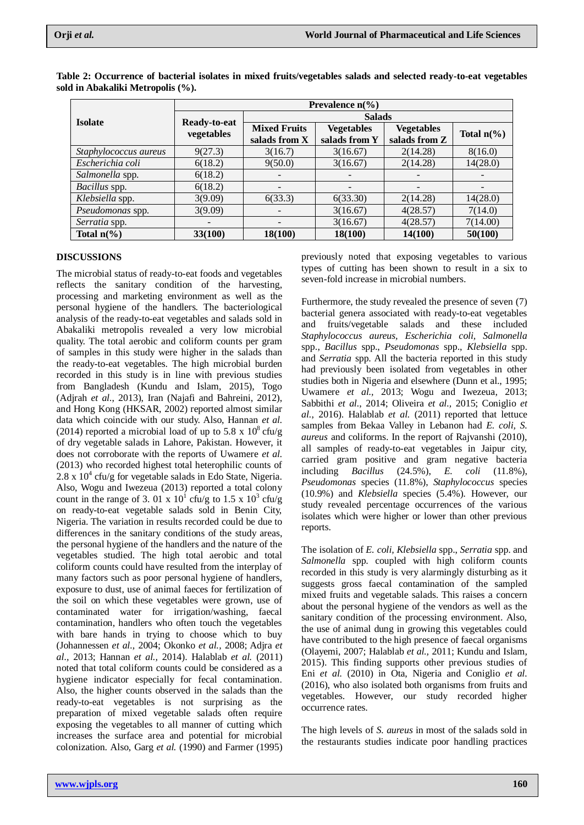|                       | Prevalence $n\frac{6}{6}$  |                          |                          |                   |                          |  |
|-----------------------|----------------------------|--------------------------|--------------------------|-------------------|--------------------------|--|
| <b>Isolate</b>        | Ready-to-eat<br>vegetables | <b>Salads</b>            |                          |                   |                          |  |
|                       |                            | <b>Mixed Fruits</b>      | <b>Vegetables</b>        | <b>Vegetables</b> | Total $n\frac{6}{6}$     |  |
|                       |                            | salads from X            | salads from Y            | salads from Z     |                          |  |
| Staphylococcus aureus | 9(27.3)                    | 3(16.7)                  | 3(16.67)                 | 2(14.28)          | 8(16.0)                  |  |
| Escherichia coli      | 6(18.2)                    | 9(50.0)                  | 3(16.67)                 | 2(14.28)          | 14(28.0)                 |  |
| Salmonella spp.       | 6(18.2)                    |                          |                          |                   |                          |  |
| Bacillus spp.         | 6(18.2)                    | $\overline{\phantom{0}}$ | $\overline{\phantom{a}}$ |                   | $\overline{\phantom{a}}$ |  |
| Klebsiella spp.       | 3(9.09)                    | 6(33.3)                  | 6(33.30)                 | 2(14.28)          | 14(28.0)                 |  |
| Pseudomonas spp.      | 3(9.09)                    |                          | 3(16.67)                 | 4(28.57)          | 7(14.0)                  |  |
| Serratia spp.         |                            |                          | 3(16.67)                 | 4(28.57)          | 7(14.00)                 |  |
| Total $n\frac{6}{6}$  | 33(100)                    | 18(100)                  | 18(100)                  | 14(100)           | 50(100)                  |  |

**Table 2: Occurrence of bacterial isolates in mixed fruits/vegetables salads and selected ready-to-eat vegetables sold in Abakaliki Metropolis (%).**

#### **DISCUSSIONS**

The microbial status of ready-to-eat foods and vegetables reflects the sanitary condition of the harvesting, processing and marketing environment as well as the personal hygiene of the handlers. The bacteriological analysis of the ready-to-eat vegetables and salads sold in Abakaliki metropolis revealed a very low microbial quality. The total aerobic and coliform counts per gram of samples in this study were higher in the salads than the ready-to-eat vegetables. The high microbial burden recorded in this study is in line with previous studies from Bangladesh (Kundu and Islam, 2015), Togo (Adjrah *et al.*, 2013), Iran (Najafi and Bahreini, 2012), and Hong Kong (HKSAR, 2002) reported almost similar data which coincide with our study. Also, Hannan *et al.*  (2014) reported a microbial load of up to 5.8 x  $10^8$  cfu/g of dry vegetable salads in Lahore, Pakistan. However, it does not corroborate with the reports of Uwamere *et al.*  (2013) who recorded highest total heterophilic counts of  $2.8 \times 10^4$  cfu/g for vegetable salads in Edo State, Nigeria. Also, Wogu and Iwezeua (2013) reported a total colony count in the range of 3. 01 x  $10^1$  cfu/g to 1.5 x  $10^3$  cfu/g on ready-to-eat vegetable salads sold in Benin City, Nigeria. The variation in results recorded could be due to differences in the sanitary conditions of the study areas, the personal hygiene of the handlers and the nature of the vegetables studied. The high total aerobic and total coliform counts could have resulted from the interplay of many factors such as poor personal hygiene of handlers, exposure to dust, use of animal faeces for fertilization of the soil on which these vegetables were grown, use of contaminated water for irrigation/washing, faecal contamination, handlers who often touch the vegetables with bare hands in trying to choose which to buy (Johannessen *et al.,* 2004; Okonko *et al.,* 2008; Adjra *et al.,* 2013; Hannan *et al.,* 2014). Halablab *et al.* (2011) noted that total coliform counts could be considered as a hygiene indicator especially for fecal contamination. Also, the higher counts observed in the salads than the ready-to-eat vegetables is not surprising as the preparation of mixed vegetable salads often require exposing the vegetables to all manner of cutting which increases the surface area and potential for microbial colonization. Also, Garg *et al.* (1990) and Farmer (1995) previously noted that exposing vegetables to various types of cutting has been shown to result in a six to seven-fold increase in microbial numbers.

Furthermore, the study revealed the presence of seven (7) bacterial genera associated with ready-to-eat vegetables and fruits/vegetable salads and these included *Staphylococcus aureus, Escherichia coli, Salmonella* spp., *Bacillus* spp., *Pseudomonas* spp., *Klebsiella* spp. and *Serratia* spp. All the bacteria reported in this study had previously been isolated from vegetables in other studies both in Nigeria and elsewhere (Dunn et al., 1995; Uwamere *et al.,* 2013; Wogu and Iwezeua, 2013; Sabbithi *et al.*, 2014; Oliveira *et al.,* 2015; Coniglio *et al.*, 2016). Halablab *et al.* (2011) reported that lettuce samples from Bekaa Valley in Lebanon had *E. coli, S. aureus* and coliforms. In the report of Rajvanshi (2010), all samples of ready-to-eat vegetables in Jaipur city, carried gram positive and gram negative bacteria including *Bacillus* (24.5%), *E. coli* (11.8%), *Pseudomonas* species (11.8%), *Staphylococcus* species (10.9%) and *Klebsiella* species (5.4%). However, our study revealed percentage occurrences of the various isolates which were higher or lower than other previous reports.

The isolation of *E. coli, Klebsiella* spp., *Serratia* spp. and *Salmonella* spp. coupled with high coliform counts recorded in this study is very alarmingly disturbing as it suggests gross faecal contamination of the sampled mixed fruits and vegetable salads. This raises a concern about the personal hygiene of the vendors as well as the sanitary condition of the processing environment. Also, the use of animal dung in growing this vegetables could have contributed to the high presence of faecal organisms (Olayemi, 2007; Halablab *et al.,* 2011; Kundu and Islam, 2015). This finding supports other previous studies of Eni *et al.* (2010) in Ota, Nigeria and Coniglio *et al.* (2016), who also isolated both organisms from fruits and vegetables. However, our study recorded higher occurrence rates.

The high levels of *S. aureus* in most of the salads sold in the restaurants studies indicate poor handling practices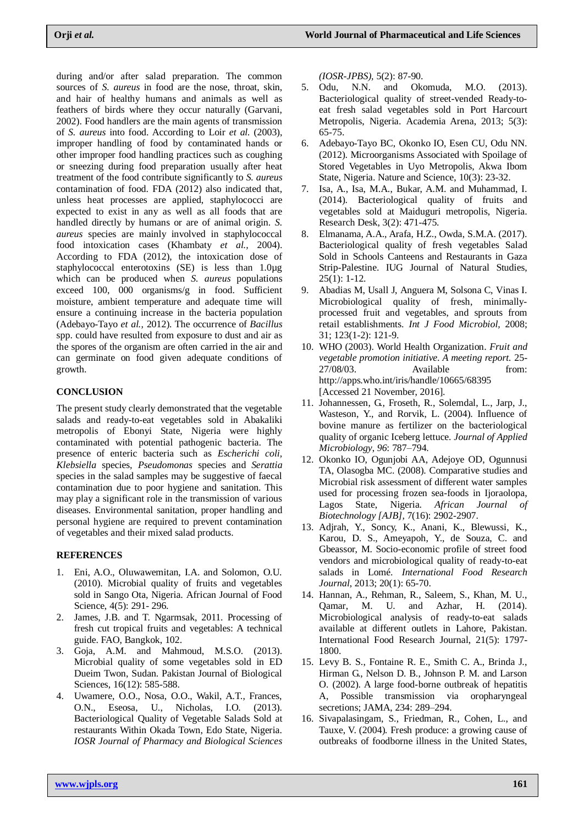during and/or after salad preparation. The common sources of *S. aureus* in food are the nose, throat, skin, and hair of healthy humans and animals as well as feathers of birds where they occur naturally (Garvani, 2002). Food handlers are the main agents of transmission of *S. aureus* into food. According to Loir *et al.* (2003), improper handling of food by contaminated hands or other improper food handling practices such as coughing or sneezing during food preparation usually after heat treatment of the food contribute significantly to *S. aureus* contamination of food. FDA (2012) also indicated that, unless heat processes are applied, staphylococci are expected to exist in any as well as all foods that are handled directly by humans or are of animal origin. *S. aureus* species are mainly involved in staphylococcal food intoxication cases (Khambaty *et al.,* 2004). According to FDA (2012), the intoxication dose of staphylococcal enterotoxins (SE) is less than 1.0µg which can be produced when *S. aureus* populations exceed 100, 000 organisms/g in food. Sufficient moisture, ambient temperature and adequate time will ensure a continuing increase in the bacteria population (Adebayo-Tayo *et al.,* 2012). The occurrence of *Bacillus*  spp. could have resulted from exposure to dust and air as the spores of the organism are often carried in the air and can germinate on food given adequate conditions of growth.

### **CONCLUSION**

The present study clearly demonstrated that the vegetable salads and ready-to-eat vegetables sold in Abakaliki metropolis of Ebonyi State, Nigeria were highly contaminated with potential pathogenic bacteria. The presence of enteric bacteria such as *Escherichi coli, Klebsiella* species*, Pseudomonas* species and *Serattia*  species in the salad samples may be suggestive of faecal contamination due to poor hygiene and sanitation. This may play a significant role in the transmission of various diseases. Environmental sanitation, proper handling and personal hygiene are required to prevent contamination of vegetables and their mixed salad products.

#### **REFERENCES**

- 1. Eni, A.O., Oluwawemitan, I.A. and Solomon, O.U. (2010). Microbial quality of fruits and vegetables sold in Sango Ota, Nigeria. African Journal of Food Science, 4(5): 291- 296.
- 2. James, J.B. and T. Ngarmsak, 2011. Processing of fresh cut tropical fruits and vegetables: A technical guide. FAO, Bangkok, 102.
- 3. Goja, A.M. and Mahmoud, M.S.O. (2013). Microbial quality of some vegetables sold in ED Dueim Twon, Sudan. Pakistan Journal of Biological Sciences, 16(12): 585-588.
- 4. Uwamere, O.O., Nosa, O.O., Wakil, A.T., Frances, O.N., Eseosa, U., Nicholas, I.O. (2013). Bacteriological Quality of Vegetable Salads Sold at restaurants Within Okada Town, Edo State, Nigeria. *IOSR Journal of Pharmacy and Biological Sciences*

*(IOSR-JPBS),* 5(2): 87-90.

- 5. Odu, N.N. and Okomuda, M.O. (2013). Bacteriological quality of street-vended Ready-toeat fresh salad vegetables sold in Port Harcourt Metropolis, Nigeria. Academia Arena, 2013; 5(3): 65-75.
- 6. Adebayo-Tayo BC, Okonko IO, Esen CU, Odu NN. (2012). Microorganisms Associated with Spoilage of Stored Vegetables in Uyo Metropolis, Akwa Ibom State, Nigeria. Nature and Science, 10(3): 23-32.
- 7. Isa, A., Isa, M.A., Bukar, A.M. and Muhammad, I. (2014). Bacteriological quality of fruits and vegetables sold at Maiduguri metropolis, Nigeria. Research Desk, 3(2): 471-475.
- 8. Elmanama, A.A., Arafa, H.Z., Owda, S.M.A. (2017). Bacteriological quality of fresh vegetables Salad Sold in Schools Canteens and Restaurants in Gaza Strip-Palestine. IUG Journal of Natural Studies, 25(1): 1-12.
- 9. Abadias M, Usall J, Anguera M, Solsona C, Vinas I. Microbiological quality of fresh, minimallyprocessed fruit and vegetables, and sprouts from retail establishments. *Int J Food Microbiol,* 2008; 31; 123(1-2): 121-9.
- 10. WHO (2003). World Health Organization. *Fruit and vegetable promotion initiative. A meeting report.* 25- 27/08/03. Available from: http://apps.who.int/iris/handle/10665/68395 [Accessed 21 November, 2016].
- 11. Johannessen, G., Froseth, R., Solemdal, L., Jarp, J., Wasteson, Y., and Rorvik, L. (2004). Influence of bovine manure as fertilizer on the bacteriological quality of organic Iceberg lettuce. *Journal of Applied Microbiology*, *96*: 787–794.
- 12. Okonko IO, Ogunjobi AA, Adejoye OD, Ogunnusi TA, Olasogba MC. (2008). Comparative studies and Microbial risk assessment of different water samples used for processing frozen sea-foods in Ijoraolopa, Lagos State, Nigeria. *African Journal of Biotechnology [AJB],* 7(16): 2902-2907.
- 13. Adjrah, Y., Soncy, K., Anani, K., Blewussi, K., Karou, D. S., Ameyapoh, Y., de Souza, C. and Gbeassor, M. Socio-economic profile of street food vendors and microbiological quality of ready-to-eat salads in Lomé. *International Food Research Journal*, 2013; 20(1): 65-70.
- 14. Hannan, A., Rehman, R., Saleem, S., Khan, M. U., Qamar, M. U. and Azhar, H. (2014). Microbiological analysis of ready-to-eat salads available at different outlets in Lahore, Pakistan. International Food Research Journal, 21(5): 1797- 1800.
- 15. Levy B. S., Fontaine R. E., Smith C. A., Brinda J., Hirman G., Nelson D. B., Johnson P. M. and Larson O. (2002). A large food-borne outbreak of hepatitis A, Possible transmission via oropharyngeal secretions; JAMA, 234: 289–294.
- 16. Sivapalasingam, S., Friedman, R., Cohen, L., and Tauxe, V. (2004)*.* Fresh produce: a growing cause of outbreaks of foodborne illness in the United States,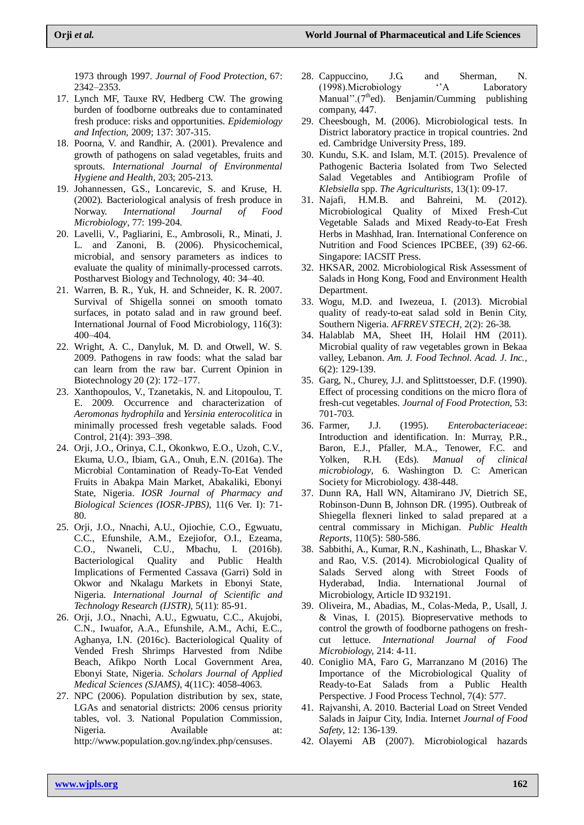1973 through 1997. *Journal of Food Protection*, 67: 2342–2353.

- 17. Lynch MF, Tauxe RV, Hedberg CW. The growing burden of foodborne outbreaks due to contaminated fresh produce: risks and opportunities. *Epidemiology and Infection,* 2009; 137: 307-315.
- 18. Poorna, V. and Randhir, A. (2001). Prevalence and growth of pathogens on salad vegetables, fruits and sprouts. *International Journal of Environmental Hygiene and Health*, 203; 205-213.
- 19. Johannessen, G.S., Loncarevic, S. and Kruse, H. (2002). Bacteriological analysis of fresh produce in Norway. *International Journal of Food Microbiology*, 77: 199-204.
- 20. Lavelli, V., Pagliarini, E., Ambrosoli, R., Minati, J. L. and Zanoni, B. (2006). Physicochemical, microbial, and sensory parameters as indices to evaluate the quality of minimally-processed carrots. Postharvest Biology and Technology, 40: 34–40.
- 21. Warren, B. R., Yuk, H. and Schneider, K. R. 2007. Survival of Shigella sonnei on smooth tomato surfaces, in potato salad and in raw ground beef. International Journal of Food Microbiology, 116(3): 400–404.
- 22. Wright, A. C., Danyluk, M. D. and Otwell, W. S. 2009. Pathogens in raw foods: what the salad bar can learn from the raw bar. Current Opinion in Biotechnology 20 (2): 172–177.
- 23. Xanthopoulos, V., Tzanetakis, N. and Litopoulou, T. E. 2009. Occurrence and characterization of *Aeromonas hydrophila* and *Yersinia enterocolitica* in minimally processed fresh vegetable salads. Food Control, 21(4): 393–398.
- 24. Orji, J.O., Orinya, C.I., Okonkwo, E.O., Uzoh, C.V., Ekuma, U.O., Ibiam, G.A., Onuh, E.N. (2016a). The Microbial Contamination of Ready-To-Eat Vended Fruits in Abakpa Main Market, Abakaliki, Ebonyi State, Nigeria. *IOSR Journal of Pharmacy and Biological Sciences (IOSR-JPBS),* 11(6 Ver. I): 71- 80.
- 25. Orji, J.O., Nnachi, A.U., Ojiochie, C.O., Egwuatu, C.C., Efunshile, A.M., Ezejiofor, O.I., Ezeama, C.O., Nwaneli, C.U., Mbachu, I. (2016b). Bacteriological Quality and Public Health Implications of Fermented Cassava (Garri) Sold in Okwor and Nkalagu Markets in Ebonyi State, Nigeria. *International Journal of Scientific and Technology Research (IJSTR),* 5(11): 85-91.
- 26. Orji, J.O., Nnachi, A.U., Egwuatu, C.C., Akujobi, C.N., Iwuafor, A.A., Efunshile, A.M., Achi, E.C., Aghanya, I.N. (2016c). Bacteriological Quality of Vended Fresh Shrimps Harvested from Ndibe Beach, Afikpo North Local Government Area, Ebonyi State, Nigeria. *Scholars Journal of Applied Medical Sciences (SJAMS)*, 4(11C): 4058-4063.
- 27. NPC (2006). Population distribution by sex, state, LGAs and senatorial districts: 2006 census priority tables, vol. 3. National Population Commission, Nigeria. Available at: [http://www.population.gov.ng/index.php/censuses.](http://www.population.gov.ng/index.php/censuses)
- 28. Cappuccino, J.G. and Sherman, N.<br>
(1998) Microbiology <sup>(A</sup> Laboratory (1998).Microbiology ''A Laboratory Manual". $(7<sup>th</sup>ed)$ . Benjamin/Cumming publishing company, 447.
- 29. Cheesbough, M. (2006). Microbiological tests. In District laboratory practice in tropical countries. 2nd ed. Cambridge University Press, 189.
- 30. Kundu, S.K. and Islam, M.T. (2015). Prevalence of Pathogenic Bacteria Isolated from Two Selected Salad Vegetables and Antibiogram Profile of *Klebsiella* spp. *The Agriculturists,* 13(1): 09-17.
- 31. Najafi, H.M.B. and Bahreini, M. (2012). Microbiological Quality of Mixed Fresh-Cut Vegetable Salads and Mixed Ready-to-Eat Fresh Herbs in Mashhad, Iran. International Conference on Nutrition and Food Sciences IPCBEE, (39) 62-66. Singapore: IACSIT Press.
- 32. HKSAR, 2002. Microbiological Risk Assessment of Salads in Hong Kong, Food and Environment Health Department.
- 33. Wogu, M.D. and Iwezeua, I. (2013). Microbial quality of ready-to-eat salad sold in Benin City, Southern Nigeria. *AFRREV STECH,* 2(2): 26-38.
- 34. Halablab MA, Sheet IH, Holail HM (2011). Microbial quality of raw vegetables grown in Bekaa valley, Lebanon. *Am. J. Food Technol. Acad. J. Inc.,* 6(2): 129-139.
- 35. Garg, N., Churey, J.J. and Splittstoesser, D.F. (1990). Effect of processing conditions on the micro flora of fresh-cut vegetables. *Journal of Food Protection,* 53: 701-703.
- 36. Farmer, J.J. (1995). *Enterobacteriaceae*: Introduction and identification. In: Murray, P.R., Baron, E.J., Pfaller, M.A., Tenower, F.C. and Yolken, R.H. (Eds). *Manual of clinical microbiology*, 6. Washington D. C: American Society for Microbiology. 438-448.
- 37. Dunn RA, Hall WN, Altamirano JV, Dietrich SE, Robinson-Dunn B, Johnson DR. (1995). Outbreak of Shiegella flexneri linked to salad prepared at a central commissary in Michigan. *Public Health Reports,* 110(5): 580-586.
- 38. Sabbithi, A., Kumar, R.N., Kashinath, L., Bhaskar V. and Rao, V.S. (2014). Microbiological Quality of Salads Served along with Street Foods of Hyderabad, India. International Journal of Microbiology, Article ID 932191.
- 39. Oliveira, M., Abadias, M., Colas-Meda, P., Usall, J. & Vinas, I. (2015). Biopreservative methods to control the growth of foodborne pathogens on freshcut lettuce. *International Journal of Food Microbiology,* 214: 4-11.
- 40. Coniglio MA, Faro G, Marranzano M (2016) The Importance of the Microbiological Quality of Ready-to-Eat Salads from a Public Health Perspective. J Food Process Technol, 7(4): 577.
- 41. Rajvanshi, A. 2010. Bacterial Load on Street Vended Salads in Jaipur City, India. Internet *Journal of Food Safety,* 12: 136-139.
- 42. Olayemi AB (2007). Microbiological hazards